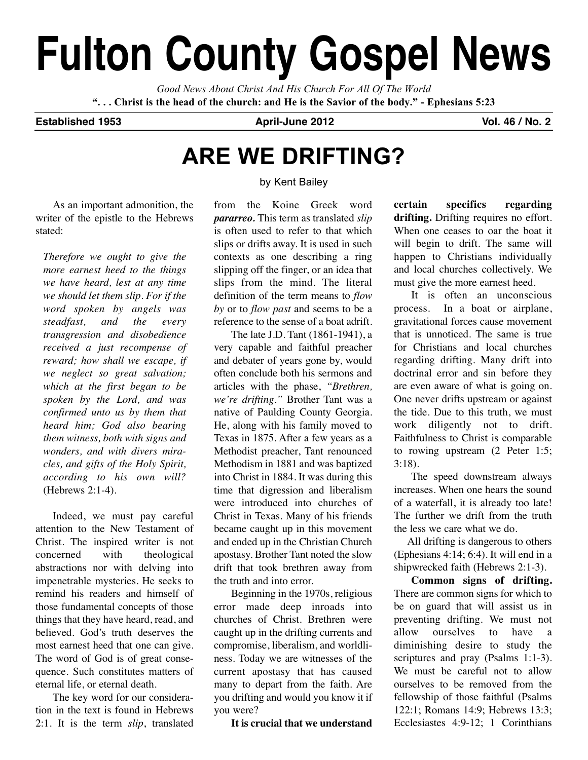# **Fulton County Gospel News**

*Good News About Christ And His Church For All Of The World* "... Christ is the head of the church: and He is the Savior of the body." - Ephesians 5:23

## **Established 1953 April-June 2012 Vol. 46 / No. 2**

## **ARE WE DRIFTING?**

## by Kent Bailey

As an important admonition, the writer of the epistle to the Hebrews stated:

*Therefore we ought to give the more earnest heed to the things we have heard, lest at any time we should let them slip. For if the word spoken by angels was steadfast, and the every transgression and disobedience received a just recompense of reward; how shall we escape, if we neglect so great salvation; which at the first began to be spoken by the Lord, and was confirmed unto us by them that heard him; God also bearing them witness, both with signs and wonders, and with divers miracles, and gifts of the Holy Spirit, according to his own will?* (Hebrews 2:1-4).

Indeed, we must pay careful attention to the New Testament of Christ. The inspired writer is not concerned with theological abstractions nor with delving into impenetrable mysteries. He seeks to remind his readers and himself of those fundamental concepts of those things that they have heard, read, and believed. God's truth deserves the most earnest heed that one can give. The word of God is of great consequence. Such constitutes matters of eternal life, or eternal death.

The key word for our consideration in the text is found in Hebrews 2:1. It is the term *slip*, translated from the Koine Greek word *pararreo.* This term as translated *slip* is often used to refer to that which slips or drifts away. It is used in such contexts as one describing a ring slipping off the finger, or an idea that slips from the mind. The literal definition of the term means to *flow by* or to *flow past* and seems to be a reference to the sense of a boat adrift.

The late J.D. Tant (1861-1941), a very capable and faithful preacher and debater of years gone by, would often conclude both his sermons and articles with the phase, *"Brethren, we're drifting."* Brother Tant was a native of Paulding County Georgia. He, along with his family moved to Texas in 1875. After a few years as a Methodist preacher, Tant renounced Methodism in 1881 and was baptized into Christ in 1884. It was during this time that digression and liberalism were introduced into churches of Christ in Texas. Many of his friends became caught up in this movement and ended up in the Christian Church apostasy. Brother Tant noted the slow drift that took brethren away from the truth and into error.

Beginning in the 1970s, religious error made deep inroads into churches of Christ. Brethren were caught up in the drifting currents and compromise, liberalism, and worldliness. Today we are witnesses of the current apostasy that has caused many to depart from the faith. Are you drifting and would you know it if you were?

**It is crucial that we understand**

**certain specifics regarding drifting.** Drifting requires no effort. When one ceases to oar the boat it will begin to drift. The same will happen to Christians individually and local churches collectively. We must give the more earnest heed.

It is often an unconscious process. In a boat or airplane, gravitational forces cause movement that is unnoticed. The same is true for Christians and local churches regarding drifting. Many drift into doctrinal error and sin before they are even aware of what is going on. One never drifts upstream or against the tide. Due to this truth, we must work diligently not to drift. Faithfulness to Christ is comparable to rowing upstream (2 Peter 1:5; 3:18).

The speed downstream always increases. When one hears the sound of a waterfall, it is already too late! The further we drift from the truth the less we care what we do.

All drifting is dangerous to others (Ephesians 4:14; 6:4). It will end in a shipwrecked faith (Hebrews 2:1-3).

**Common signs of drifting.** There are common signs for which to be on guard that will assist us in preventing drifting. We must not allow ourselves to have a diminishing desire to study the scriptures and pray (Psalms 1:1-3). We must be careful not to allow ourselves to be removed from the fellowship of those faithful (Psalms 122:1; Romans 14:9; Hebrews 13:3; Ecclesiastes 4:9-12; 1 Corinthians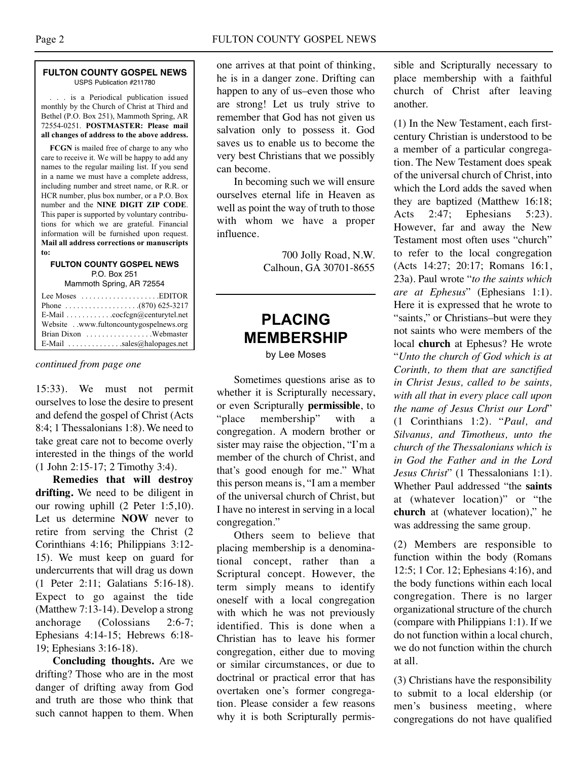#### **FULTON COUNTY GOSPEL NEWS** USPS Publication #211780

. . . is a Periodical publication issued monthly by the Church of Christ at Third and Bethel (P.O. Box 251), Mammoth Spring, AR 72554-0251. **POSTMASTER: Please mail all changes of address to the above address.**

**FCGN** is mailed free of charge to any who care to receive it. We will be happy to add any names to the regular mailing list. If you send in a name we must have a complete address, including number and street name, or R.R. or HCR number, plus box number, or a P.O. Box number and the **NINE DIGIT ZIP CODE**. This paper is supported by voluntary contributions for which we are grateful. Financial information will be furnished upon request. **Mail all address corrections or manuscripts to:**

#### **FULTON COUNTY GOSPEL NEWS** P.O. Box 251

Mammoth Spring, AR 72554

| Lee Moses $\dots \dots \dots \dots \dots$ . EDITOR |
|----------------------------------------------------|
|                                                    |
| E-Mail cocfcgn@centurytel.net                      |
| Website . www.fultoncountygospelnews.org           |
|                                                    |
| E-Mail $\ldots$ sales@halopages.net                |

*continued from page one*

15:33). We must not permit ourselves to lose the desire to present and defend the gospel of Christ (Acts 8:4; 1 Thessalonians 1:8). We need to take great care not to become overly interested in the things of the world (1 John 2:15-17; 2 Timothy 3:4).

**Remedies that will destroy drifting.** We need to be diligent in our rowing uphill (2 Peter 1:5,10). Let us determine **NOW** never to retire from serving the Christ (2 Corinthians 4:16; Philippians 3:12- 15). We must keep on guard for undercurrents that will drag us down (1 Peter 2:11; Galatians 5:16-18). Expect to go against the tide (Matthew 7:13-14). Develop a strong anchorage (Colossians 2:6-7; Ephesians 4:14-15; Hebrews 6:18- 19; Ephesians 3:16-18).

**Concluding thoughts.** Are we drifting? Those who are in the most danger of drifting away from God and truth are those who think that such cannot happen to them. When one arrives at that point of thinking, he is in a danger zone. Drifting can happen to any of us–even those who are strong! Let us truly strive to remember that God has not given us salvation only to possess it. God saves us to enable us to become the very best Christians that we possibly can become.

In becoming such we will ensure ourselves eternal life in Heaven as well as point the way of truth to those with whom we have a proper influence.

> 700 Jolly Road, N.W. Calhoun, GA 30701-8655

## **PLACING MEMBERSHIP**

by Lee Moses

Sometimes questions arise as to whether it is Scripturally necessary, or even Scripturally **permissible**, to "place membership" with a congregation. A modern brother or sister may raise the objection, "I'm a member of the church of Christ, and that's good enough for me." What this person means is, "I am a member of the universal church of Christ, but I have no interest in serving in a local congregation."

Others seem to believe that placing membership is a denominational concept, rather than a Scriptural concept. However, the term simply means to identify oneself with a local congregation with which he was not previously identified. This is done when a Christian has to leave his former congregation, either due to moving or similar circumstances, or due to doctrinal or practical error that has overtaken one's former congregation. Please consider a few reasons why it is both Scripturally permissible and Scripturally necessary to place membership with a faithful church of Christ after leaving another.

(1) In the New Testament, each firstcentury Christian is understood to be a member of a particular congregation. The New Testament does speak of the universal church of Christ, into which the Lord adds the saved when they are baptized (Matthew 16:18; Acts 2:47; Ephesians 5:23). However, far and away the New Testament most often uses "church" to refer to the local congregation (Acts 14:27; 20:17; Romans 16:1, 23a). Paul wrote "*to the saints which are at Ephesus*" (Ephesians 1:1). Here it is expressed that he wrote to "saints," or Christians–but were they not saints who were members of the local **church** at Ephesus? He wrote "*Unto the church of God which is at Corinth, to them that are sanctified in Christ Jesus, called to be saints, with all that in every place call upon the name of Jesus Christ our Lord*" (1 Corinthians 1:2). "*Paul, and Silvanus, and Timotheus, unto the church of the Thessalonians which is in God the Father and in the Lord Jesus Christ*" (1 Thessalonians 1:1). Whether Paul addressed "the **saints** at (whatever location)" or "the **church** at (whatever location)," he was addressing the same group.

(2) Members are responsible to function within the body (Romans 12:5; 1 Cor. 12; Ephesians 4:16), and the body functions within each local congregation. There is no larger organizational structure of the church (compare with Philippians 1:1). If we do not function within a local church, we do not function within the church at all.

(3) Christians have the responsibility to submit to a local eldership (or men's business meeting, where congregations do not have qualified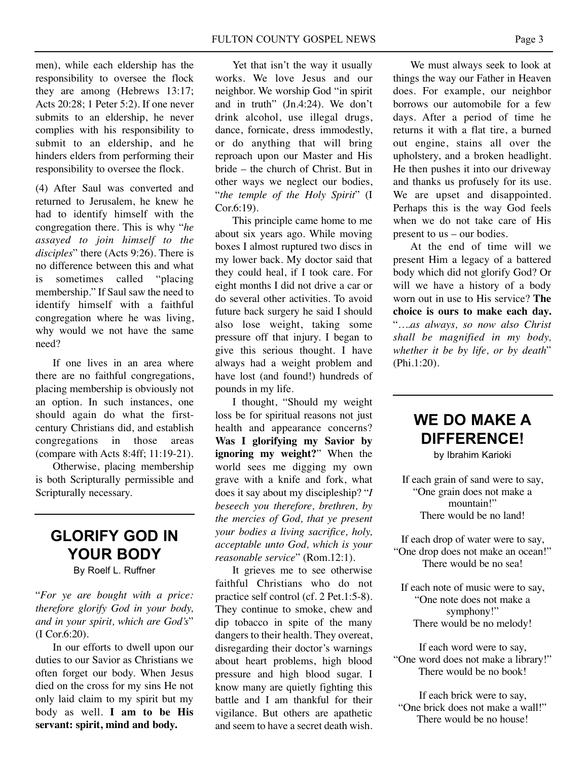men), while each eldership has the responsibility to oversee the flock they are among (Hebrews 13:17; Acts 20:28; 1 Peter 5:2). If one never submits to an eldership, he never complies with his responsibility to submit to an eldership, and he hinders elders from performing their responsibility to oversee the flock.

(4) After Saul was converted and returned to Jerusalem, he knew he had to identify himself with the congregation there. This is why "*he assayed to join himself to the disciples*" there (Acts 9:26). There is no difference between this and what is sometimes called "placing membership." If Saul saw the need to identify himself with a faithful congregation where he was living, why would we not have the same need?

If one lives in an area where there are no faithful congregations, placing membership is obviously not an option. In such instances, one should again do what the firstcentury Christians did, and establish congregations in those areas (compare with Acts 8:4ff; 11:19-21).

Otherwise, placing membership is both Scripturally permissible and Scripturally necessary.

## **GLORIFY GOD IN YOUR BODY**

By Roelf L. Ruffner

"*For ye are bought with a price: therefore glorify God in your body, and in your spirit, which are God's*" (I Cor.6:20).

In our efforts to dwell upon our duties to our Savior as Christians we often forget our body. When Jesus died on the cross for my sins He not only laid claim to my spirit but my body as well. **I am to be His servant: spirit, mind and body.**

Yet that isn't the way it usually works. We love Jesus and our neighbor. We worship God "in spirit and in truth" (Jn.4:24). We don't drink alcohol, use illegal drugs, dance, fornicate, dress immodestly, or do anything that will bring reproach upon our Master and His bride – the church of Christ. But in other ways we neglect our bodies, "*the temple of the Holy Spirit*" (I Cor.6:19).

This principle came home to me about six years ago. While moving boxes I almost ruptured two discs in my lower back. My doctor said that they could heal, if I took care. For eight months I did not drive a car or do several other activities. To avoid future back surgery he said I should also lose weight, taking some pressure off that injury. I began to give this serious thought. I have always had a weight problem and have lost (and found!) hundreds of pounds in my life.

I thought, "Should my weight loss be for spiritual reasons not just health and appearance concerns? **Was I glorifying my Savior by ignoring my weight?**" When the world sees me digging my own grave with a knife and fork, what does it say about my discipleship? "*I beseech you therefore, brethren, by the mercies of God, that ye present your bodies a living sacrifice, holy, acceptable unto God, which is your reasonable service*" (Rom.12:1).

It grieves me to see otherwise faithful Christians who do not practice self control (cf. 2 Pet.1:5-8). They continue to smoke, chew and dip tobacco in spite of the many dangers to their health. They overeat, disregarding their doctor's warnings about heart problems, high blood pressure and high blood sugar. I know many are quietly fighting this battle and I am thankful for their vigilance. But others are apathetic and seem to have a secret death wish.

We must always seek to look at things the way our Father in Heaven does. For example, our neighbor borrows our automobile for a few days. After a period of time he returns it with a flat tire, a burned out engine, stains all over the upholstery, and a broken headlight. He then pushes it into our driveway and thanks us profusely for its use. We are upset and disappointed. Perhaps this is the way God feels when we do not take care of His present to us – our bodies.

At the end of time will we present Him a legacy of a battered body which did not glorify God? Or will we have a history of a body worn out in use to His service? **The choice is ours to make each day.** "*….as always, so now also Christ shall be magnified in my body, whether it be by life, or by death*" (Phi.1:20).

## **WE DO MAKE A DIFFERENCE!**

by Ibrahim Karioki

If each grain of sand were to say, "One grain does not make a mountain!" There would be no land!

If each drop of water were to say, "One drop does not make an ocean!" There would be no sea!

If each note of music were to say, "One note does not make a symphony!" There would be no melody!

If each word were to say, "One word does not make a library!" There would be no book!

If each brick were to say, "One brick does not make a wall!" There would be no house!